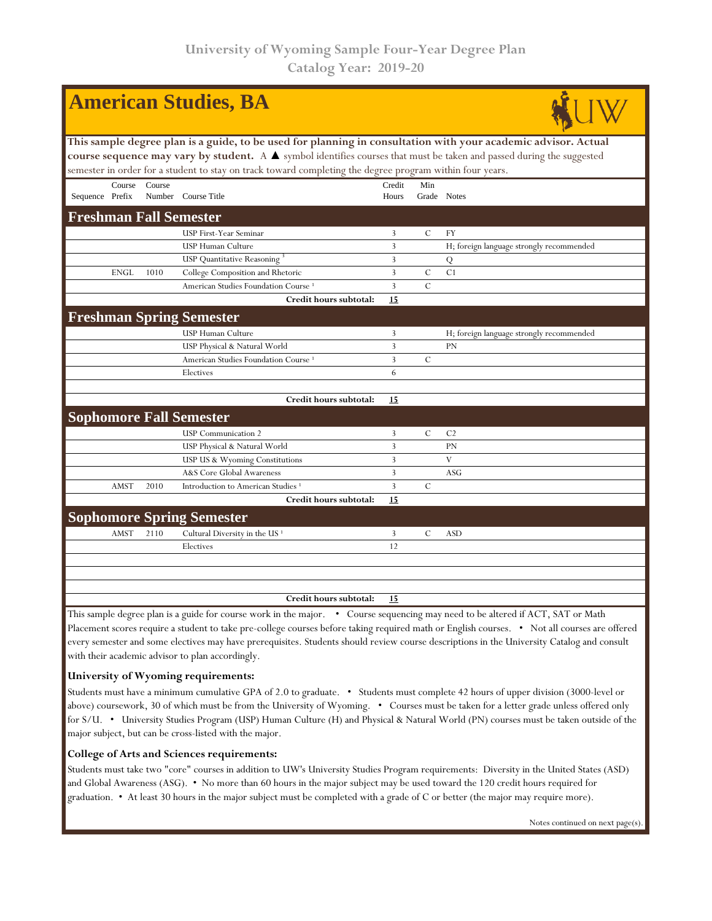| <b>American Studies, BA</b>                                                                                                                                                                                                                                                                                                                                        |                                                                                                                                 |        |                                                 |                 |               |                                          |  |  |  |
|--------------------------------------------------------------------------------------------------------------------------------------------------------------------------------------------------------------------------------------------------------------------------------------------------------------------------------------------------------------------|---------------------------------------------------------------------------------------------------------------------------------|--------|-------------------------------------------------|-----------------|---------------|------------------------------------------|--|--|--|
| This sample degree plan is a guide, to be used for planning in consultation with your academic advisor. Actual<br>course sequence may vary by student. A $\blacktriangle$ symbol identifies courses that must be taken and passed during the suggested<br>semester in order for a student to stay on track toward completing the degree program within four years. |                                                                                                                                 |        |                                                 |                 |               |                                          |  |  |  |
| Sequence Prefix                                                                                                                                                                                                                                                                                                                                                    | Course                                                                                                                          | Course | Number Course Title                             | Credit<br>Hours | Min           | Grade Notes                              |  |  |  |
|                                                                                                                                                                                                                                                                                                                                                                    |                                                                                                                                 |        | <b>Freshman Fall Semester</b>                   |                 |               |                                          |  |  |  |
|                                                                                                                                                                                                                                                                                                                                                                    |                                                                                                                                 |        | USP First-Year Seminar                          | 3               | $\mathcal{C}$ | FY                                       |  |  |  |
|                                                                                                                                                                                                                                                                                                                                                                    |                                                                                                                                 |        | USP Human Culture                               | 3               |               | H; foreign language strongly recommended |  |  |  |
|                                                                                                                                                                                                                                                                                                                                                                    |                                                                                                                                 |        | <b>USP</b> Quantitative Reasoning               | 3               |               | Q                                        |  |  |  |
|                                                                                                                                                                                                                                                                                                                                                                    | <b>ENGL</b>                                                                                                                     | 1010   | College Composition and Rhetoric                | 3               | $\mathcal{C}$ | C1                                       |  |  |  |
|                                                                                                                                                                                                                                                                                                                                                                    |                                                                                                                                 |        | American Studies Foundation Course <sup>1</sup> | 3               | $\mathcal{C}$ |                                          |  |  |  |
|                                                                                                                                                                                                                                                                                                                                                                    |                                                                                                                                 |        | Credit hours subtotal:                          | 15              |               |                                          |  |  |  |
|                                                                                                                                                                                                                                                                                                                                                                    |                                                                                                                                 |        | <b>Freshman Spring Semester</b>                 |                 |               |                                          |  |  |  |
|                                                                                                                                                                                                                                                                                                                                                                    |                                                                                                                                 |        | <b>USP Human Culture</b>                        | 3               |               | H; foreign language strongly recommended |  |  |  |
|                                                                                                                                                                                                                                                                                                                                                                    |                                                                                                                                 |        | USP Physical & Natural World                    | $\overline{3}$  |               | PN                                       |  |  |  |
|                                                                                                                                                                                                                                                                                                                                                                    |                                                                                                                                 |        | American Studies Foundation Course <sup>1</sup> | $\overline{3}$  | $\mathcal{C}$ |                                          |  |  |  |
|                                                                                                                                                                                                                                                                                                                                                                    |                                                                                                                                 |        | Electives                                       | 6               |               |                                          |  |  |  |
|                                                                                                                                                                                                                                                                                                                                                                    |                                                                                                                                 |        | Credit hours subtotal:                          | 15              |               |                                          |  |  |  |
|                                                                                                                                                                                                                                                                                                                                                                    |                                                                                                                                 |        | <b>Sophomore Fall Semester</b>                  |                 |               |                                          |  |  |  |
|                                                                                                                                                                                                                                                                                                                                                                    |                                                                                                                                 |        | <b>USP</b> Communication 2                      | 3               | $\mathcal{C}$ | C <sub>2</sub>                           |  |  |  |
|                                                                                                                                                                                                                                                                                                                                                                    |                                                                                                                                 |        | USP Physical & Natural World                    | 3               |               | PN                                       |  |  |  |
|                                                                                                                                                                                                                                                                                                                                                                    |                                                                                                                                 |        | USP US & Wyoming Constitutions                  | $\mathbf{3}$    |               | V                                        |  |  |  |
|                                                                                                                                                                                                                                                                                                                                                                    |                                                                                                                                 |        | A&S Core Global Awareness                       | $\overline{3}$  |               | ASG                                      |  |  |  |
|                                                                                                                                                                                                                                                                                                                                                                    | AMST                                                                                                                            | 2010   | Introduction to American Studies <sup>1</sup>   | 3               | $\mathcal{C}$ |                                          |  |  |  |
|                                                                                                                                                                                                                                                                                                                                                                    |                                                                                                                                 |        | Credit hours subtotal:                          | 15              |               |                                          |  |  |  |
|                                                                                                                                                                                                                                                                                                                                                                    |                                                                                                                                 |        | <b>Sophomore Spring Semester</b>                |                 |               |                                          |  |  |  |
|                                                                                                                                                                                                                                                                                                                                                                    | AMST                                                                                                                            | 2110   | Cultural Diversity in the US <sup>1</sup>       | 3               | $\mathbf C$   | <b>ASD</b>                               |  |  |  |
|                                                                                                                                                                                                                                                                                                                                                                    |                                                                                                                                 |        | Electives                                       | 12              |               |                                          |  |  |  |
|                                                                                                                                                                                                                                                                                                                                                                    |                                                                                                                                 |        |                                                 |                 |               |                                          |  |  |  |
|                                                                                                                                                                                                                                                                                                                                                                    |                                                                                                                                 |        | Credit hours subtotal:                          | 15              |               |                                          |  |  |  |
|                                                                                                                                                                                                                                                                                                                                                                    | This sample degree plan is a guide for course work in the major. . Course sequencing may need to be altered if ACT, SAT or Math |        |                                                 |                 |               |                                          |  |  |  |

Placement scores require a student to take pre-college courses before taking required math or English courses. • Not all courses are offered every semester and some electives may have prerequisites. Students should review course descriptions in the University Catalog and consult with their academic advisor to plan accordingly.

## **University of Wyoming requirements:**

Students must have a minimum cumulative GPA of 2.0 to graduate. • Students must complete 42 hours of upper division (3000-level or above) coursework, 30 of which must be from the University of Wyoming. • Courses must be taken for a letter grade unless offered only for S/U. • University Studies Program (USP) Human Culture (H) and Physical & Natural World (PN) courses must be taken outside of the major subject, but can be cross-listed with the major.

## **College of Arts and Sciences requirements:**

Students must take two "core" courses in addition to UW's University Studies Program requirements: Diversity in the United States (ASD) and Global Awareness (ASG). • No more than 60 hours in the major subject may be used toward the 120 credit hours required for graduation. • At least 30 hours in the major subject must be completed with a grade of C or better (the major may require more).